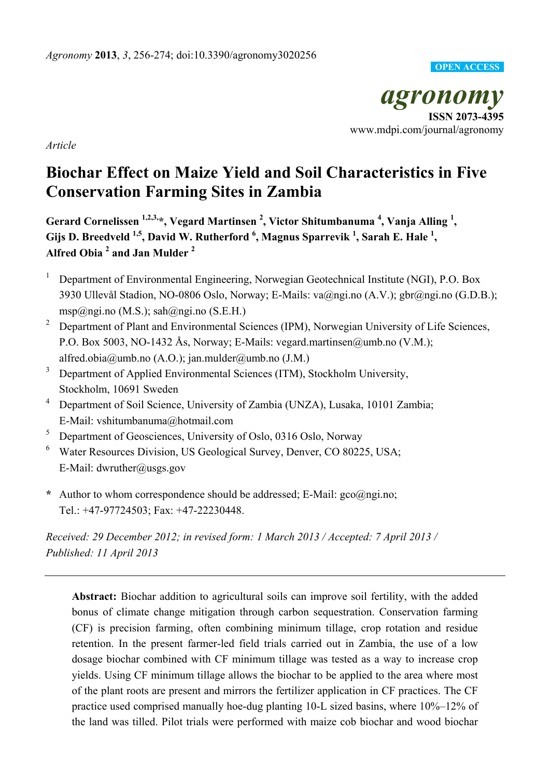## **OPEN ACCESS**

*agronomy*  **ISSN 2073-4395**  www.mdpi.com/journal/agronomy

*Article* 

# **Biochar Effect on Maize Yield and Soil Characteristics in Five Conservation Farming Sites in Zambia**

Gerard Cornelissen <sup>1,2,3,</sup>\*, Vegard Martinsen <sup>2</sup>, Victor Shitumbanuma <sup>4</sup>, Vanja Alling <sup>1</sup>, Gijs D. Breedveld <sup>1,5</sup>, David W. Rutherford <sup>6</sup>, Magnus Sparrevik <sup>1</sup>, Sarah E. Hale <sup>1</sup>, **Alfred Obia <sup>2</sup> and Jan Mulder 2** 

- <sup>1</sup> Department of Environmental Engineering, Norwegian Geotechnical Institute (NGI), P.O. Box 3930 Ullevål Stadion, NO-0806 Oslo, Norway; E-Mails: va@ngi.no (A.V.); gbr@ngi.no (G.D.B.); msp@ngi.no (M.S.); sah@ngi.no (S.E.H.)
- <sup>2</sup> Department of Plant and Environmental Sciences (IPM), Norwegian University of Life Sciences, P.O. Box 5003, NO-1432 Ås, Norway; E-Mails: vegard.martinsen@umb.no (V.M.); alfred.obia@umb.no (A.O.); jan.mulder@umb.no (J.M.)
- <sup>3</sup> Department of Applied Environmental Sciences (ITM), Stockholm University, Stockholm, 10691 Sweden
- <sup>4</sup> Department of Soil Science, University of Zambia (UNZA), Lusaka, 10101 Zambia; E-Mail: vshitumbanuma@hotmail.com
- <sup>5</sup> Department of Geosciences, University of Oslo, 0316 Oslo, Norway
- 6 Water Resources Division, US Geological Survey, Denver, CO 80225, USA; E-Mail: dwruther@usgs.gov
- **\*** Author to whom correspondence should be addressed; E-Mail: gco@ngi.no; Tel.: +47-97724503; Fax: +47-22230448.

*Received: 29 December 2012; in revised form: 1 March 2013 / Accepted: 7 April 2013 / Published: 11 April 2013* 

**Abstract:** Biochar addition to agricultural soils can improve soil fertility, with the added bonus of climate change mitigation through carbon sequestration. Conservation farming (CF) is precision farming, often combining minimum tillage, crop rotation and residue retention. In the present farmer-led field trials carried out in Zambia, the use of a low dosage biochar combined with CF minimum tillage was tested as a way to increase crop yields. Using CF minimum tillage allows the biochar to be applied to the area where most of the plant roots are present and mirrors the fertilizer application in CF practices. The CF practice used comprised manually hoe-dug planting 10-L sized basins, where 10%–12% of the land was tilled. Pilot trials were performed with maize cob biochar and wood biochar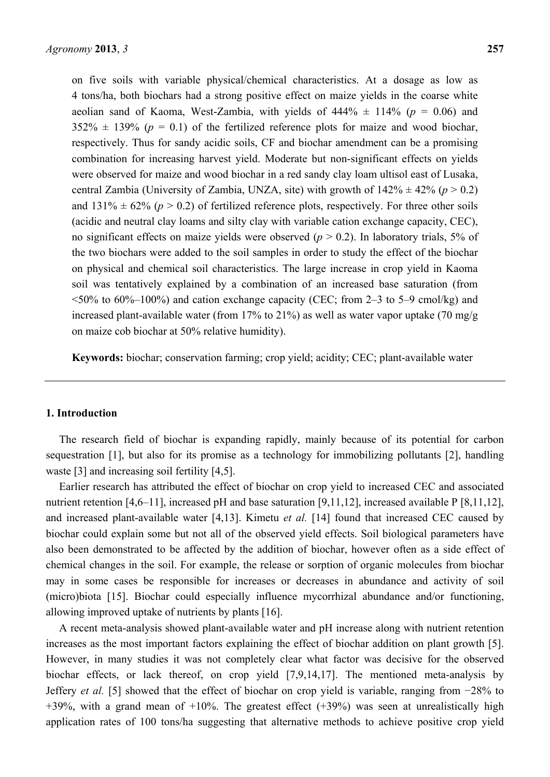on five soils with variable physical/chemical characteristics. At a dosage as low as 4 tons/ha, both biochars had a strong positive effect on maize yields in the coarse white aeolian sand of Kaoma, West-Zambia, with yields of  $444\% \pm 114\%$  ( $p = 0.06$ ) and  $352\% \pm 139\%$  ( $p = 0.1$ ) of the fertilized reference plots for maize and wood biochar, respectively. Thus for sandy acidic soils, CF and biochar amendment can be a promising combination for increasing harvest yield. Moderate but non-significant effects on yields were observed for maize and wood biochar in a red sandy clay loam ultisol east of Lusaka, central Zambia (University of Zambia, UNZA, site) with growth of  $142\% \pm 42\%$  ( $p > 0.2$ ) and  $131\% \pm 62\%$  ( $p > 0.2$ ) of fertilized reference plots, respectively. For three other soils (acidic and neutral clay loams and silty clay with variable cation exchange capacity, CEC), no significant effects on maize yields were observed  $(p > 0.2)$ . In laboratory trials, 5% of the two biochars were added to the soil samples in order to study the effect of the biochar on physical and chemical soil characteristics. The large increase in crop yield in Kaoma soil was tentatively explained by a combination of an increased base saturation (from  $\leq 50\%$  to 60%–100%) and cation exchange capacity (CEC; from 2–3 to 5–9 cmol/kg) and increased plant-available water (from 17% to 21%) as well as water vapor uptake (70 mg/g on maize cob biochar at 50% relative humidity).

**Keywords:** biochar; conservation farming; crop yield; acidity; CEC; plant-available water

## **1. Introduction**

The research field of biochar is expanding rapidly, mainly because of its potential for carbon sequestration [1], but also for its promise as a technology for immobilizing pollutants [2], handling waste [3] and increasing soil fertility [4,5].

Earlier research has attributed the effect of biochar on crop yield to increased CEC and associated nutrient retention [4,6–11], increased pH and base saturation [9,11,12], increased available P [8,11,12], and increased plant-available water [4,13]. Kimetu *et al.* [14] found that increased CEC caused by biochar could explain some but not all of the observed yield effects. Soil biological parameters have also been demonstrated to be affected by the addition of biochar, however often as a side effect of chemical changes in the soil. For example, the release or sorption of organic molecules from biochar may in some cases be responsible for increases or decreases in abundance and activity of soil (micro)biota [15]. Biochar could especially influence mycorrhizal abundance and/or functioning, allowing improved uptake of nutrients by plants [16].

A recent meta-analysis showed plant-available water and pH increase along with nutrient retention increases as the most important factors explaining the effect of biochar addition on plant growth [5]. However, in many studies it was not completely clear what factor was decisive for the observed biochar effects, or lack thereof, on crop yield [7,9,14,17]. The mentioned meta-analysis by Jeffery *et al.* [5] showed that the effect of biochar on crop yield is variable, ranging from −28% to +39%, with a grand mean of  $+10$ %. The greatest effect  $(+39%)$  was seen at unrealistically high application rates of 100 tons/ha suggesting that alternative methods to achieve positive crop yield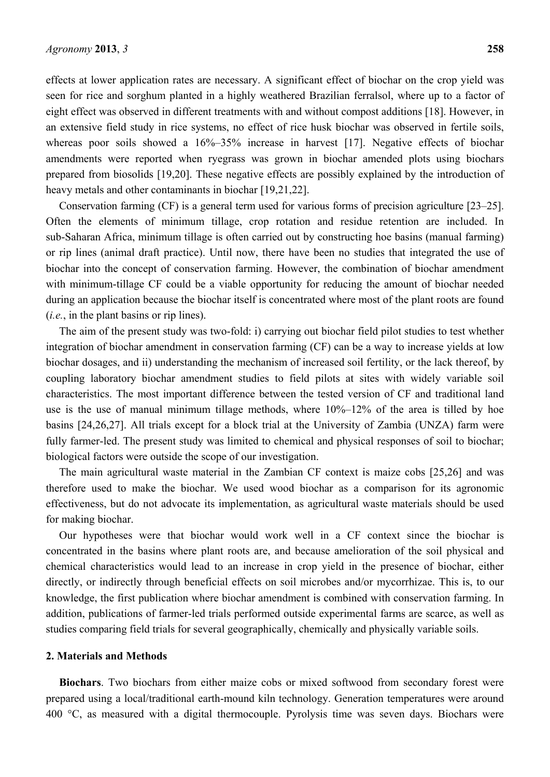effects at lower application rates are necessary. A significant effect of biochar on the crop yield was seen for rice and sorghum planted in a highly weathered Brazilian ferralsol, where up to a factor of eight effect was observed in different treatments with and without compost additions [18]. However, in an extensive field study in rice systems, no effect of rice husk biochar was observed in fertile soils, whereas poor soils showed a  $16\%-35\%$  increase in harvest [17]. Negative effects of biochar amendments were reported when ryegrass was grown in biochar amended plots using biochars prepared from biosolids [19,20]. These negative effects are possibly explained by the introduction of heavy metals and other contaminants in biochar [19,21,22].

Conservation farming (CF) is a general term used for various forms of precision agriculture [23–25]. Often the elements of minimum tillage, crop rotation and residue retention are included. In sub-Saharan Africa, minimum tillage is often carried out by constructing hoe basins (manual farming) or rip lines (animal draft practice). Until now, there have been no studies that integrated the use of biochar into the concept of conservation farming. However, the combination of biochar amendment with minimum-tillage CF could be a viable opportunity for reducing the amount of biochar needed during an application because the biochar itself is concentrated where most of the plant roots are found (*i.e.*, in the plant basins or rip lines).

The aim of the present study was two-fold: i) carrying out biochar field pilot studies to test whether integration of biochar amendment in conservation farming (CF) can be a way to increase yields at low biochar dosages, and ii) understanding the mechanism of increased soil fertility, or the lack thereof, by coupling laboratory biochar amendment studies to field pilots at sites with widely variable soil characteristics. The most important difference between the tested version of CF and traditional land use is the use of manual minimum tillage methods, where 10%–12% of the area is tilled by hoe basins [24,26,27]. All trials except for a block trial at the University of Zambia (UNZA) farm were fully farmer-led. The present study was limited to chemical and physical responses of soil to biochar; biological factors were outside the scope of our investigation.

The main agricultural waste material in the Zambian CF context is maize cobs [25,26] and was therefore used to make the biochar. We used wood biochar as a comparison for its agronomic effectiveness, but do not advocate its implementation, as agricultural waste materials should be used for making biochar.

Our hypotheses were that biochar would work well in a CF context since the biochar is concentrated in the basins where plant roots are, and because amelioration of the soil physical and chemical characteristics would lead to an increase in crop yield in the presence of biochar, either directly, or indirectly through beneficial effects on soil microbes and/or mycorrhizae. This is, to our knowledge, the first publication where biochar amendment is combined with conservation farming. In addition, publications of farmer-led trials performed outside experimental farms are scarce, as well as studies comparing field trials for several geographically, chemically and physically variable soils.

## **2. Materials and Methods**

**Biochars**. Two biochars from either maize cobs or mixed softwood from secondary forest were prepared using a local/traditional earth-mound kiln technology. Generation temperatures were around 400 °C, as measured with a digital thermocouple. Pyrolysis time was seven days. Biochars were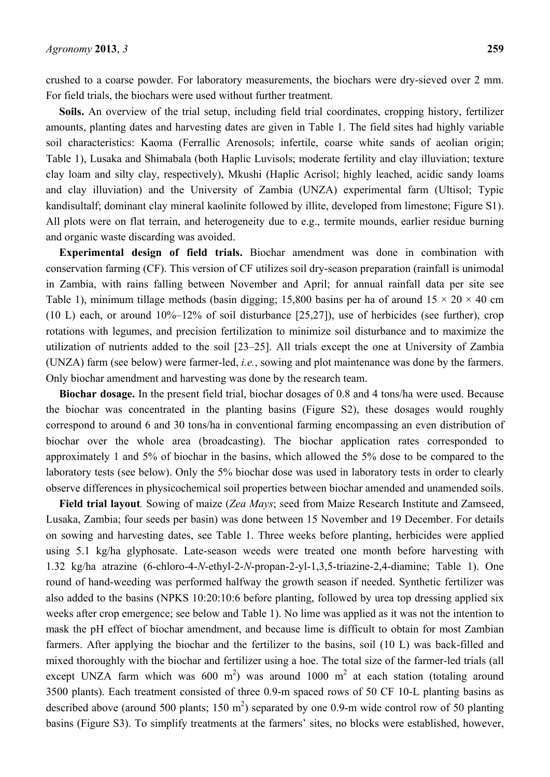crushed to a coarse powder. For laboratory measurements, the biochars were dry-sieved over 2 mm. For field trials, the biochars were used without further treatment.

**Soils.** An overview of the trial setup, including field trial coordinates, cropping history, fertilizer amounts, planting dates and harvesting dates are given in Table 1. The field sites had highly variable soil characteristics: Kaoma (Ferrallic Arenosols; infertile, coarse white sands of aeolian origin; Table 1), Lusaka and Shimabala (both Haplic Luvisols; moderate fertility and clay illuviation; texture clay loam and silty clay, respectively), Mkushi (Haplic Acrisol; highly leached, acidic sandy loams and clay illuviation) and the University of Zambia (UNZA) experimental farm (Ultisol; Typic kandisultalf; dominant clay mineral kaolinite followed by illite, developed from limestone; Figure S1). All plots were on flat terrain, and heterogeneity due to e.g., termite mounds, earlier residue burning and organic waste discarding was avoided.

**Experimental design of field trials.** Biochar amendment was done in combination with conservation farming (CF). This version of CF utilizes soil dry-season preparation (rainfall is unimodal in Zambia, with rains falling between November and April; for annual rainfall data per site see Table 1), minimum tillage methods (basin digging; 15,800 basins per ha of around  $15 \times 20 \times 40$  cm (10 L) each, or around 10%–12% of soil disturbance [25,27]), use of herbicides (see further), crop rotations with legumes, and precision fertilization to minimize soil disturbance and to maximize the utilization of nutrients added to the soil [23–25]. All trials except the one at University of Zambia (UNZA) farm (see below) were farmer-led, *i.e.*, sowing and plot maintenance was done by the farmers. Only biochar amendment and harvesting was done by the research team.

**Biochar dosage.** In the present field trial, biochar dosages of 0.8 and 4 tons/ha were used. Because the biochar was concentrated in the planting basins (Figure S2), these dosages would roughly correspond to around 6 and 30 tons/ha in conventional farming encompassing an even distribution of biochar over the whole area (broadcasting). The biochar application rates corresponded to approximately 1 and 5% of biochar in the basins, which allowed the 5% dose to be compared to the laboratory tests (see below). Only the 5% biochar dose was used in laboratory tests in order to clearly observe differences in physicochemical soil properties between biochar amended and unamended soils.

**Field trial layout***.* Sowing of maize (*Zea Mays*; seed from Maize Research Institute and Zamseed, Lusaka, Zambia; four seeds per basin) was done between 15 November and 19 December. For details on sowing and harvesting dates, see Table 1. Three weeks before planting, herbicides were applied using 5.1 kg/ha glyphosate. Late-season weeds were treated one month before harvesting with 1.32 kg/ha atrazine (6-chloro-4-*N*-ethyl-2-*N*-propan-2-yl-1,3,5-triazine-2,4-diamine; Table 1). One round of hand-weeding was performed halfway the growth season if needed. Synthetic fertilizer was also added to the basins (NPKS 10:20:10:6 before planting, followed by urea top dressing applied six weeks after crop emergence; see below and Table 1). No lime was applied as it was not the intention to mask the pH effect of biochar amendment, and because lime is difficult to obtain for most Zambian farmers. After applying the biochar and the fertilizer to the basins, soil (10 L) was back-filled and mixed thoroughly with the biochar and fertilizer using a hoe. The total size of the farmer-led trials (all except UNZA farm which was  $600 \text{ m}^2$ ) was around 1000 m<sup>2</sup> at each station (totaling around 3500 plants). Each treatment consisted of three 0.9-m spaced rows of 50 CF 10-L planting basins as described above (around 500 plants; 150 m<sup>2</sup>) separated by one 0.9-m wide control row of 50 planting basins (Figure S3). To simplify treatments at the farmers' sites, no blocks were established, however,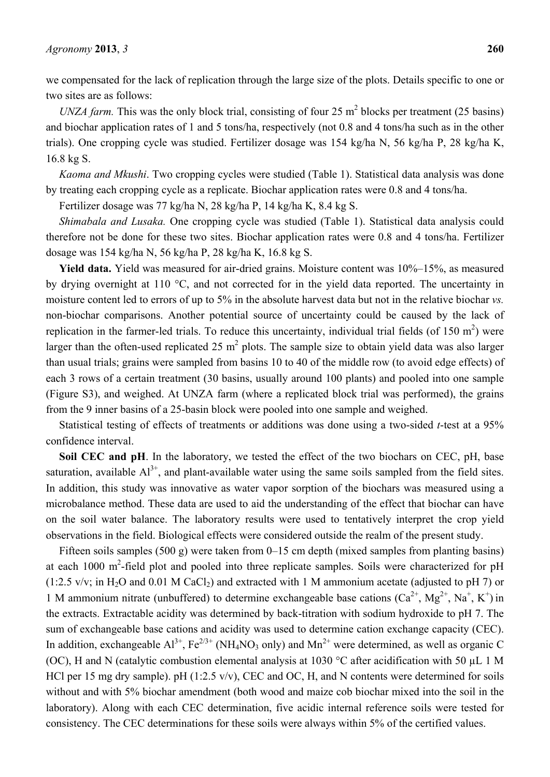we compensated for the lack of replication through the large size of the plots. Details specific to one or two sites are as follows:

*UNZA farm.* This was the only block trial, consisting of four  $25 \text{ m}^2$  blocks per treatment ( $25 \text{ basins}$ ) and biochar application rates of 1 and 5 tons/ha, respectively (not 0.8 and 4 tons/ha such as in the other trials). One cropping cycle was studied. Fertilizer dosage was 154 kg/ha N, 56 kg/ha P, 28 kg/ha K, 16.8 kg S.

*Kaoma and Mkushi*. Two cropping cycles were studied (Table 1). Statistical data analysis was done by treating each cropping cycle as a replicate. Biochar application rates were 0.8 and 4 tons/ha.

Fertilizer dosage was 77 kg/ha N, 28 kg/ha P, 14 kg/ha K, 8.4 kg S.

*Shimabala and Lusaka.* One cropping cycle was studied (Table 1). Statistical data analysis could therefore not be done for these two sites. Biochar application rates were 0.8 and 4 tons/ha. Fertilizer dosage was 154 kg/ha N, 56 kg/ha P, 28 kg/ha K, 16.8 kg S.

Yield data. Yield was measured for air-dried grains. Moisture content was 10%–15%, as measured by drying overnight at 110 °C, and not corrected for in the yield data reported. The uncertainty in moisture content led to errors of up to 5% in the absolute harvest data but not in the relative biochar *vs.* non-biochar comparisons. Another potential source of uncertainty could be caused by the lack of replication in the farmer-led trials. To reduce this uncertainty, individual trial fields (of 150  $m<sup>2</sup>$ ) were larger than the often-used replicated 25  $m^2$  plots. The sample size to obtain yield data was also larger than usual trials; grains were sampled from basins 10 to 40 of the middle row (to avoid edge effects) of each 3 rows of a certain treatment (30 basins, usually around 100 plants) and pooled into one sample (Figure S3), and weighed. At UNZA farm (where a replicated block trial was performed), the grains from the 9 inner basins of a 25-basin block were pooled into one sample and weighed.

Statistical testing of effects of treatments or additions was done using a two-sided *t*-test at a 95% confidence interval.

Soil CEC and pH. In the laboratory, we tested the effect of the two biochars on CEC, pH, base saturation, available  $Al^{3+}$ , and plant-available water using the same soils sampled from the field sites. In addition, this study was innovative as water vapor sorption of the biochars was measured using a microbalance method. These data are used to aid the understanding of the effect that biochar can have on the soil water balance. The laboratory results were used to tentatively interpret the crop yield observations in the field. Biological effects were considered outside the realm of the present study.

Fifteen soils samples (500 g) were taken from 0–15 cm depth (mixed samples from planting basins) at each 1000  $m^2$ -field plot and pooled into three replicate samples. Soils were characterized for pH  $(1:2.5 \text{ v/v}; \text{ in H<sub>2</sub>O and 0.01 M CaCl<sub>2</sub>)$  and extracted with 1 M ammonium acetate (adjusted to pH 7) or 1 M ammonium nitrate (unbuffered) to determine exchangeable base cations  $(Ca^{2+}, Mg^{2+}, Na^+, K^+)$  in the extracts. Extractable acidity was determined by back-titration with sodium hydroxide to pH 7. The sum of exchangeable base cations and acidity was used to determine cation exchange capacity (CEC). In addition, exchangeable  $Al^{3+}$ , Fe<sup>2/3+</sup> (NH<sub>4</sub>NO<sub>3</sub> only) and Mn<sup>2+</sup> were determined, as well as organic C (OC), H and N (catalytic combustion elemental analysis at 1030 °C after acidification with 50 µL 1 M HCl per 15 mg dry sample). pH (1:2.5 v/v), CEC and OC, H, and N contents were determined for soils without and with 5% biochar amendment (both wood and maize cob biochar mixed into the soil in the laboratory). Along with each CEC determination, five acidic internal reference soils were tested for consistency. The CEC determinations for these soils were always within 5% of the certified values.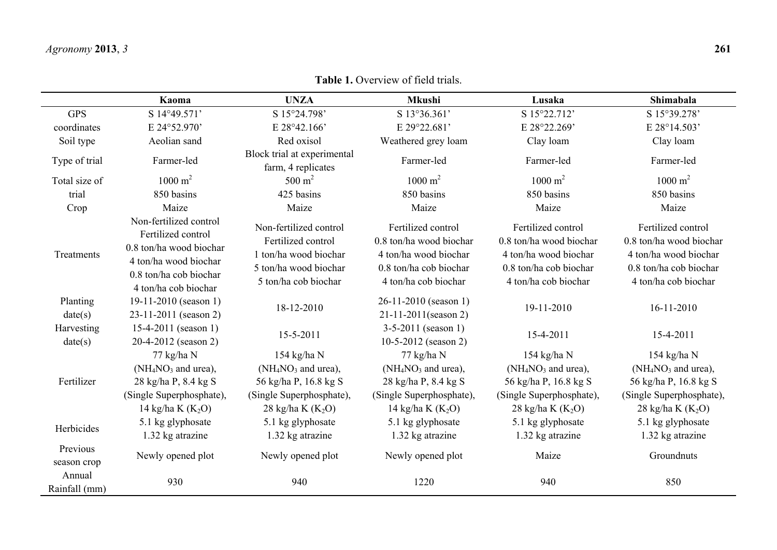## **Table 1.** Overview of field trials.

|                         | Kaoma                                                                                                                                              | <b>UNZA</b>                                                                                                            | <b>Mkushi</b>                                                                                                            | Lusaka                                                                                                                   | Shimabala                                                                                                                |  |  |
|-------------------------|----------------------------------------------------------------------------------------------------------------------------------------------------|------------------------------------------------------------------------------------------------------------------------|--------------------------------------------------------------------------------------------------------------------------|--------------------------------------------------------------------------------------------------------------------------|--------------------------------------------------------------------------------------------------------------------------|--|--|
| <b>GPS</b>              | S 14°49.571'                                                                                                                                       | S 15°24.798'                                                                                                           | S 13°36.361'                                                                                                             | S 15°22.712'                                                                                                             | S 15°39.278'                                                                                                             |  |  |
| coordinates             | E 24°52.970'                                                                                                                                       | $E$ 28°42.166'                                                                                                         | E 29°22.681'                                                                                                             | E 28°22.269'                                                                                                             | E 28°14.503'                                                                                                             |  |  |
| Soil type               | Aeolian sand                                                                                                                                       | Red oxisol                                                                                                             | Weathered grey loam                                                                                                      | Clay loam                                                                                                                | Clay loam                                                                                                                |  |  |
| Type of trial           | Farmer-led                                                                                                                                         | Block trial at experimental<br>farm, 4 replicates                                                                      | Farmer-led                                                                                                               | Farmer-led                                                                                                               | Farmer-led                                                                                                               |  |  |
| Total size of           | $1000 \text{ m}^2$                                                                                                                                 | $500 \text{ m}^2$                                                                                                      | $1000 \text{ m}^2$                                                                                                       | $1000 \text{ m}^2$                                                                                                       | $1000 \text{ m}^2$                                                                                                       |  |  |
| trial                   | 850 basins                                                                                                                                         | 425 basins                                                                                                             | 850 basins                                                                                                               | 850 basins                                                                                                               | 850 basins                                                                                                               |  |  |
| Crop                    | Maize                                                                                                                                              | Maize                                                                                                                  | Maize                                                                                                                    | Maize                                                                                                                    | Maize                                                                                                                    |  |  |
| Treatments              | Non-fertilized control<br>Fertilized control<br>0.8 ton/ha wood biochar<br>4 ton/ha wood biochar<br>0.8 ton/ha cob biochar<br>4 ton/ha cob biochar | Non-fertilized control<br>Fertilized control<br>1 ton/ha wood biochar<br>5 ton/ha wood biochar<br>5 ton/ha cob biochar | Fertilized control<br>0.8 ton/ha wood biochar<br>4 ton/ha wood biochar<br>0.8 ton/ha cob biochar<br>4 ton/ha cob biochar | Fertilized control<br>0.8 ton/ha wood biochar<br>4 ton/ha wood biochar<br>0.8 ton/ha cob biochar<br>4 ton/ha cob biochar | Fertilized control<br>0.8 ton/ha wood biochar<br>4 ton/ha wood biochar<br>0.8 ton/ha cob biochar<br>4 ton/ha cob biochar |  |  |
| Planting<br>date(s)     | 19-11-2010 (season 1)<br>23-11-2011 (season 2)                                                                                                     | 18-12-2010                                                                                                             | $26-11-2010$ (season 1)<br>$21 - 11 - 2011$ (season 2)                                                                   | 19-11-2010                                                                                                               | 16-11-2010                                                                                                               |  |  |
| Harvesting<br>date(s)   | $15-4-2011$ (season 1)<br>20-4-2012 (season 2)                                                                                                     | $15 - 5 - 2011$                                                                                                        | $3-5-2011$ (season 1)<br>10-5-2012 (season 2)                                                                            | 15-4-2011                                                                                                                | $15 - 4 - 2011$                                                                                                          |  |  |
| Fertilizer              | $77 \text{ kg/ha}$ N<br>$(NH_4NO_3$ and urea),<br>28 kg/ha P, 8.4 kg S<br>(Single Superphosphate),<br>14 kg/ha K $(K_2O)$                          | 154 kg/ha N<br>$(NH4NO3$ and urea),<br>56 kg/ha P, 16.8 kg S<br>(Single Superphosphate),<br>28 kg/ha K $(K_2O)$        | 77 kg/ha N<br>$(NH_4NO_3$ and urea),<br>28 kg/ha P, 8.4 kg S<br>(Single Superphosphate),<br>14 kg/ha K $(K_2O)$          | 154 kg/ha N<br>$(NH_4NO_3$ and urea),<br>56 kg/ha P, 16.8 kg S<br>(Single Superphosphate),<br>28 kg/ha K $(K_2O)$        | $154$ kg/ha N<br>$(NH_4NO_3$ and urea),<br>56 kg/ha P, 16.8 kg S<br>(Single Superphosphate),<br>28 kg/ha K $(K_2O)$      |  |  |
| Herbicides              | 5.1 kg glyphosate<br>1.32 kg atrazine                                                                                                              | 5.1 kg glyphosate<br>1.32 kg atrazine                                                                                  | 5.1 kg glyphosate<br>1.32 kg atrazine                                                                                    | 5.1 kg glyphosate<br>1.32 kg atrazine                                                                                    | 5.1 kg glyphosate<br>1.32 kg atrazine                                                                                    |  |  |
| Previous<br>season crop | Newly opened plot                                                                                                                                  | Newly opened plot                                                                                                      | Newly opened plot                                                                                                        | Maize                                                                                                                    | Groundnuts                                                                                                               |  |  |
| Annual<br>Rainfall (mm) | 930                                                                                                                                                | 940                                                                                                                    | 1220                                                                                                                     | 940                                                                                                                      | 850                                                                                                                      |  |  |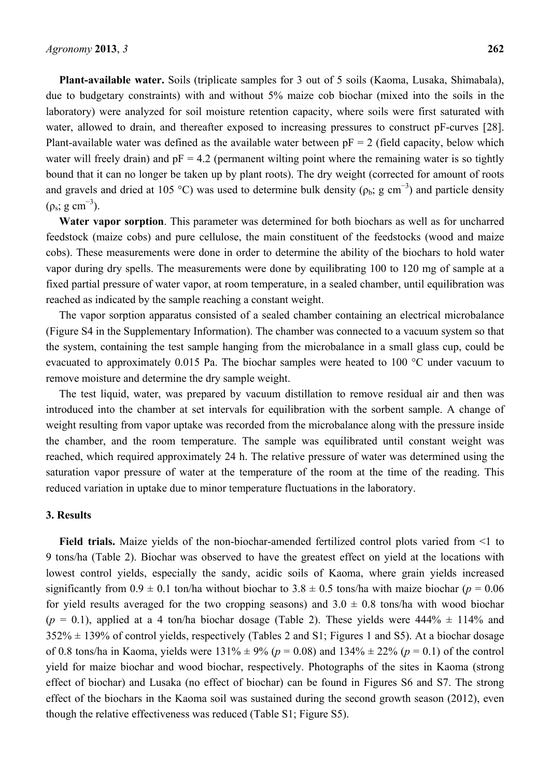**Plant-available water.** Soils (triplicate samples for 3 out of 5 soils (Kaoma, Lusaka, Shimabala), due to budgetary constraints) with and without 5% maize cob biochar (mixed into the soils in the laboratory) were analyzed for soil moisture retention capacity, where soils were first saturated with water, allowed to drain, and thereafter exposed to increasing pressures to construct pF-curves [28]. Plant-available water was defined as the available water between  $pF = 2$  (field capacity, below which water will freely drain) and  $pF = 4.2$  (permanent wilting point where the remaining water is so tightly bound that it can no longer be taken up by plant roots). The dry weight (corrected for amount of roots and gravels and dried at 105 °C) was used to determine bulk density ( $\rho_b$ ; g cm<sup>-3</sup>) and particle density  $(p_s; g cm^{-3})$ .

**Water vapor sorption**. This parameter was determined for both biochars as well as for uncharred feedstock (maize cobs) and pure cellulose, the main constituent of the feedstocks (wood and maize cobs). These measurements were done in order to determine the ability of the biochars to hold water vapor during dry spells. The measurements were done by equilibrating 100 to 120 mg of sample at a fixed partial pressure of water vapor, at room temperature, in a sealed chamber, until equilibration was reached as indicated by the sample reaching a constant weight.

The vapor sorption apparatus consisted of a sealed chamber containing an electrical microbalance (Figure S4 in the Supplementary Information). The chamber was connected to a vacuum system so that the system, containing the test sample hanging from the microbalance in a small glass cup, could be evacuated to approximately 0.015 Pa. The biochar samples were heated to 100 °C under vacuum to remove moisture and determine the dry sample weight.

The test liquid, water, was prepared by vacuum distillation to remove residual air and then was introduced into the chamber at set intervals for equilibration with the sorbent sample. A change of weight resulting from vapor uptake was recorded from the microbalance along with the pressure inside the chamber, and the room temperature. The sample was equilibrated until constant weight was reached, which required approximately 24 h. The relative pressure of water was determined using the saturation vapor pressure of water at the temperature of the room at the time of the reading. This reduced variation in uptake due to minor temperature fluctuations in the laboratory.

## **3. Results**

**Field trials.** Maize yields of the non-biochar-amended fertilized control plots varied from <1 to 9 tons/ha (Table 2). Biochar was observed to have the greatest effect on yield at the locations with lowest control yields, especially the sandy, acidic soils of Kaoma, where grain yields increased significantly from  $0.9 \pm 0.1$  ton/ha without biochar to  $3.8 \pm 0.5$  tons/ha with maize biochar ( $p = 0.06$ ) for yield results averaged for the two cropping seasons) and  $3.0 \pm 0.8$  tons/ha with wood biochar  $(p = 0.1)$ , applied at a 4 ton/ha biochar dosage (Table 2). These yields were  $444\% \pm 114\%$  and  $352\% \pm 139\%$  of control yields, respectively (Tables 2 and S1; Figures 1 and S5). At a biochar dosage of 0.8 tons/ha in Kaoma, yields were 131% ± 9% (*p* = 0.08) and 134% ± 22% (*p* = 0.1) of the control yield for maize biochar and wood biochar, respectively. Photographs of the sites in Kaoma (strong effect of biochar) and Lusaka (no effect of biochar) can be found in Figures S6 and S7. The strong effect of the biochars in the Kaoma soil was sustained during the second growth season (2012), even though the relative effectiveness was reduced (Table S1; Figure S5).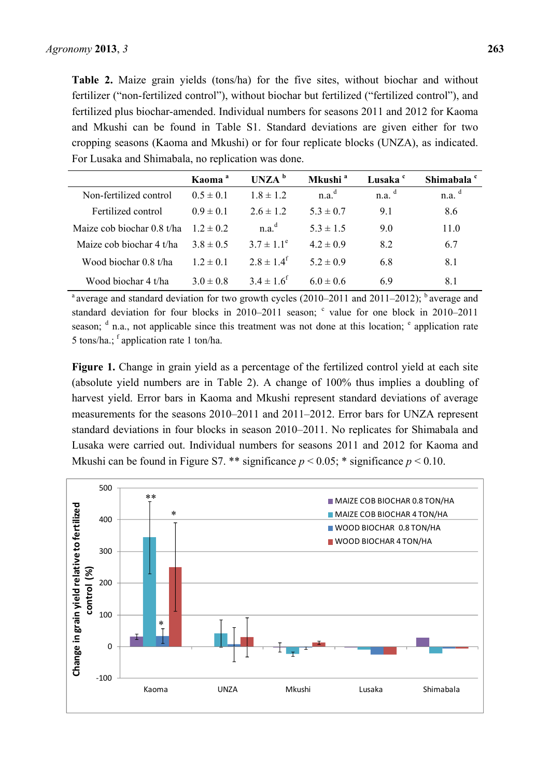**Table 2.** Maize grain yields (tons/ha) for the five sites, without biochar and without fertilizer ("non-fertilized control"), without biochar but fertilized ("fertilized control"), and fertilized plus biochar-amended. Individual numbers for seasons 2011 and 2012 for Kaoma and Mkushi can be found in Table S1. Standard deviations are given either for two cropping seasons (Kaoma and Mkushi) or for four replicate blocks (UNZA), as indicated. For Lusaka and Shimabala, no replication was done.

|                            | Kaoma <sup>a</sup> | $UNZA^b$                   | Mkushi <sup>a</sup> | Lusaka <sup>c</sup> | Shimabala <sup>c</sup> |
|----------------------------|--------------------|----------------------------|---------------------|---------------------|------------------------|
| Non-fertilized control     | $0.5 \pm 0.1$      | $18 \pm 12$                | n.a. <sup>d</sup>   | n.a. <sup>d</sup>   | n.a. <sup>d</sup>      |
| Fertilized control         | $0.9 \pm 0.1$      | $2.6 \pm 1.2$              | $5.3 \pm 0.7$       | 91                  | 8.6                    |
| Maize cob biochar 0.8 t/ha | $12 \pm 02$        | n a <sup>d</sup>           | $5.3 \pm 1.5$       | 9.0                 | 11.0                   |
| Maize cob biochar 4 t/ha   | $38 \pm 0.5$       | $3.7 \pm 1.1^e$            | $42 \pm 09$         | 82                  | 6.7                    |
| Wood biochar 0.8 t/ha      | $12 \pm 01$        | $2.8 \pm 1.4$ <sup>t</sup> | $5.2 \pm 0.9$       | 6.8                 | 8.1                    |
| Wood biochar 4 t/ha        | $3.0 \pm 0.8$      | $3.4 \pm 1.6^f$            | $6.0 \pm 0.6$       | 69                  | 81                     |

<sup>a</sup> average and standard deviation for two growth cycles (2010–2011 and 2011–2012); <sup>b</sup> average and standard deviation for four blocks in 2010–2011 season;  $\degree$  value for one block in 2010–2011 season;  $d$  n.a., not applicable since this treatment was not done at this location;  $e$  application rate 5 tons/ha.;  $f$  application rate 1 ton/ha.

**Figure 1.** Change in grain yield as a percentage of the fertilized control yield at each site (absolute yield numbers are in Table 2). A change of 100% thus implies a doubling of harvest yield. Error bars in Kaoma and Mkushi represent standard deviations of average measurements for the seasons 2010–2011 and 2011–2012. Error bars for UNZA represent standard deviations in four blocks in season 2010–2011. No replicates for Shimabala and Lusaka were carried out. Individual numbers for seasons 2011 and 2012 for Kaoma and Mkushi can be found in Figure S7. \*\* significance  $p < 0.05$ ; \* significance  $p < 0.10$ .

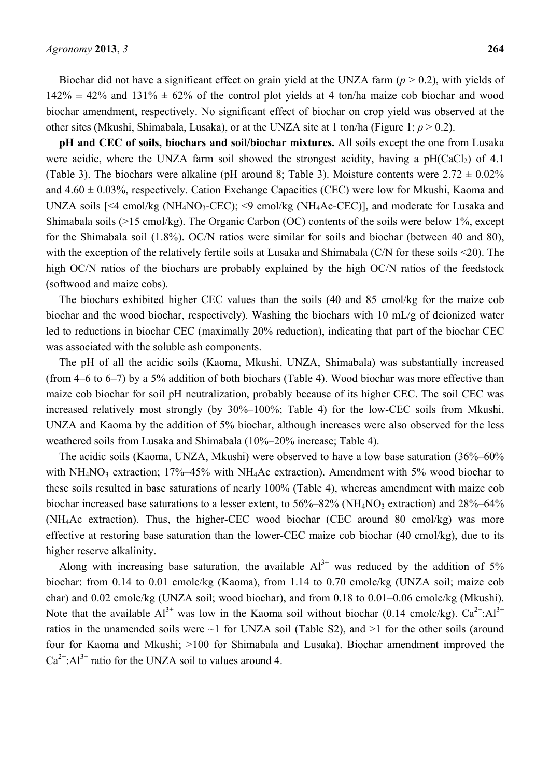Biochar did not have a significant effect on grain yield at the UNZA farm (*p* > 0.2), with yields of  $142\% \pm 42\%$  and  $131\% \pm 62\%$  of the control plot yields at 4 ton/ha maize cob biochar and wood biochar amendment, respectively. No significant effect of biochar on crop yield was observed at the other sites (Mkushi, Shimabala, Lusaka), or at the UNZA site at 1 ton/ha (Figure 1;  $p > 0.2$ ).

**pH and CEC of soils, biochars and soil/biochar mixtures.** All soils except the one from Lusaka were acidic, where the UNZA farm soil showed the strongest acidity, having a  $pH(CaCl<sub>2</sub>)$  of 4.1 (Table 3). The biochars were alkaline (pH around 8; Table 3). Moisture contents were  $2.72 \pm 0.02\%$ and  $4.60 \pm 0.03\%$ , respectively. Cation Exchange Capacities (CEC) were low for Mkushi, Kaoma and UNZA soils  $\left[\leq 4 \text{ cmol/kg (NH<sub>4</sub>NO<sub>3</sub>-CEC)\right]$ ;  $\leq 9 \text{ cmol/kg (NH<sub>4</sub>Ac-CEC)\right]$ , and moderate for Lusaka and Shimabala soils (>15 cmol/kg). The Organic Carbon (OC) contents of the soils were below 1%, except for the Shimabala soil (1.8%). OC/N ratios were similar for soils and biochar (between 40 and 80), with the exception of the relatively fertile soils at Lusaka and Shimabala (C/N for these soils <20). The high OC/N ratios of the biochars are probably explained by the high OC/N ratios of the feedstock (softwood and maize cobs).

The biochars exhibited higher CEC values than the soils (40 and 85 cmol/kg for the maize cob biochar and the wood biochar, respectively). Washing the biochars with 10 mL/g of deionized water led to reductions in biochar CEC (maximally 20% reduction), indicating that part of the biochar CEC was associated with the soluble ash components.

The pH of all the acidic soils (Kaoma, Mkushi, UNZA, Shimabala) was substantially increased (from 4–6 to 6–7) by a 5% addition of both biochars (Table 4). Wood biochar was more effective than maize cob biochar for soil pH neutralization, probably because of its higher CEC. The soil CEC was increased relatively most strongly (by 30%–100%; Table 4) for the low-CEC soils from Mkushi, UNZA and Kaoma by the addition of 5% biochar, although increases were also observed for the less weathered soils from Lusaka and Shimabala (10%–20% increase; Table 4).

The acidic soils (Kaoma, UNZA, Mkushi) were observed to have a low base saturation (36%–60% with  $NH<sub>4</sub>NO<sub>3</sub>$  extraction; 17%–45% with NH<sub>4</sub>Ac extraction). Amendment with 5% wood biochar to these soils resulted in base saturations of nearly 100% (Table 4), whereas amendment with maize cob biochar increased base saturations to a lesser extent, to  $56\% - 82\%$  (NH<sub>4</sub>NO<sub>3</sub> extraction) and  $28\% - 64\%$ (NH4Ac extraction). Thus, the higher-CEC wood biochar (CEC around 80 cmol/kg) was more effective at restoring base saturation than the lower-CEC maize cob biochar (40 cmol/kg), due to its higher reserve alkalinity.

Along with increasing base saturation, the available  $Al^{3+}$  was reduced by the addition of 5% biochar: from 0.14 to 0.01 cmolc/kg (Kaoma), from 1.14 to 0.70 cmolc/kg (UNZA soil; maize cob char) and 0.02 cmolc/kg (UNZA soil; wood biochar), and from 0.18 to 0.01–0.06 cmolc/kg (Mkushi). Note that the available  $Al^{3+}$  was low in the Kaoma soil without biochar (0.14 cmolc/kg).  $Ca^{2+}:Al^{3+}$ ratios in the unamended soils were  $\sim$ 1 for UNZA soil (Table S2), and  $\geq$ 1 for the other soils (around four for Kaoma and Mkushi; >100 for Shimabala and Lusaka). Biochar amendment improved the  $Ca^{2+}: Al^{3+}$  ratio for the UNZA soil to values around 4.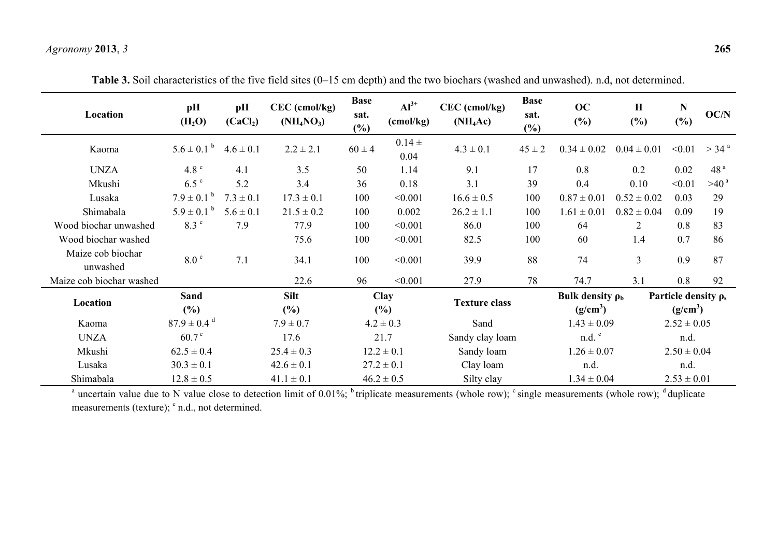## *Agronomy* **2013**, *3* **265**

| Location                      | pH<br>(H <sub>2</sub> O)    | pH<br>(CaCl <sub>2</sub> ) | CEC (cmol/kg)<br>$(NH_4NO_3)$ | <b>Base</b><br>sat.<br>$(\%)$ | $Al^{3+}$<br>(cmol/kg) | $CEC$ (cmol/kg)<br>$(NH_4Ac)$ | <b>Base</b><br>sat.<br>$(\%)$ | OC<br>$(\%)$                        | H<br>$(\%)$     | N<br>(%)                                          | OC/N              |
|-------------------------------|-----------------------------|----------------------------|-------------------------------|-------------------------------|------------------------|-------------------------------|-------------------------------|-------------------------------------|-----------------|---------------------------------------------------|-------------------|
| Kaoma                         | $5.6 \pm 0.1^{\circ}$       | $4.6 \pm 0.1$              | $2.2 \pm 2.1$                 | $60 \pm 4$                    | $0.14 \pm$<br>0.04     | $4.3 \pm 0.1$                 | $45 \pm 2$                    | $0.34 \pm 0.02$                     | $0.04 \pm 0.01$ | < 0.01                                            | $>$ 34 $^{\rm a}$ |
| <b>UNZA</b>                   | 4.8 $^{\circ}$              | 4.1                        | 3.5                           | 50                            | 1.14                   | 9.1                           | 17                            | 0.8                                 | 0.2             | 0.02                                              | 48 <sup>a</sup>   |
| Mkushi                        | $6.5$ $\degree$             | 5.2                        | 3.4                           | 36                            | 0.18                   | 3.1                           | 39                            | 0.4                                 | 0.10            | < 0.01                                            | >40 <sup>a</sup>  |
| Lusaka                        | $7.9 \pm 0.1^{\circ}$       | $7.3 \pm 0.1$              | $17.3 \pm 0.1$                | 100                           | < 0.001                | $16.6 \pm 0.5$                | 100                           | $0.87 \pm 0.01$                     | $0.52 \pm 0.02$ | 0.03                                              | 29                |
| Shimabala                     | $5.9 \pm 0.1^{\circ}$       | $5.6 \pm 0.1$              | $21.5 \pm 0.2$                | 100                           | 0.002                  | $26.2 \pm 1.1$                | 100                           | $1.61 \pm 0.01$                     | $0.82 \pm 0.04$ | 0.09                                              | 19                |
| Wood biochar unwashed         | 8.3 <sup>c</sup>            | 7.9                        | 77.9                          | 100                           | < 0.001                | 86.0                          | 100                           | 64                                  | 2               | 0.8                                               | 83                |
| Wood biochar washed           |                             |                            | 75.6                          | 100                           | < 0.001                | 82.5                          | 100                           | 60                                  | 1.4             | 0.7                                               | 86                |
| Maize cob biochar<br>unwashed | 8.0 <sup>c</sup>            | 7.1                        | 34.1                          | 100                           | < 0.001                | 39.9                          | 88                            | 74                                  | 3               | 0.9                                               | 87                |
| Maize cob biochar washed      |                             |                            | 22.6                          | 96                            | < 0.001                | 27.9                          | 78                            | 74.7                                | 3.1             | 0.8                                               | 92                |
| Location                      | Sand<br>(%)                 |                            | <b>Silt</b><br>$(\%)$         |                               | <b>Clay</b><br>(%)     | <b>Texture class</b>          |                               | Bulk density $\rho_b$<br>$(g/cm^3)$ |                 | Particle density $\rho_s$<br>(g/cm <sup>3</sup> ) |                   |
| Kaoma                         | $87.9 \pm 0.4$ <sup>d</sup> |                            | $7.9 \pm 0.7$                 | $4.2 \pm 0.3$                 |                        | Sand                          |                               | $1.43 \pm 0.09$                     |                 | $2.52 \pm 0.05$                                   |                   |
| <b>UNZA</b>                   | 60.7 <sup>c</sup>           |                            | 17.6                          |                               | 21.7                   | Sandy clay loam               |                               | $n.d.$ <sup>e</sup>                 |                 | n.d.                                              |                   |
| Mkushi                        | $62.5 \pm 0.4$              |                            | $25.4 \pm 0.3$                |                               | $12.2 \pm 0.1$         | Sandy loam                    |                               | $1.26 \pm 0.07$                     |                 | $2.50 \pm 0.04$                                   |                   |
| Lusaka                        | $30.3 \pm 0.1$              |                            | $42.6 \pm 0.1$                | $27.2 \pm 0.1$                |                        | Clay loam                     |                               | n.d.                                |                 | n.d.                                              |                   |
| Shimabala                     | $12.8 \pm 0.5$              |                            | $41.1 \pm 0.1$                | $46.2 \pm 0.5$                |                        | Silty clay                    |                               | $1.34 \pm 0.04$                     |                 | $2.53 \pm 0.01$                                   |                   |

**Table 3.** Soil characteristics of the five field sites (0–15 cm depth) and the two biochars (washed and unwashed). n.d, not determined.

<sup>a</sup> uncertain value due to N value close to detection limit of 0.01%; <sup>b</sup> triplicate measurements (whole row);  $\degree$  single measurements (whole row);  $\degree$  duplicate measurements (texture);  $\textdegree$  n.d., not determined.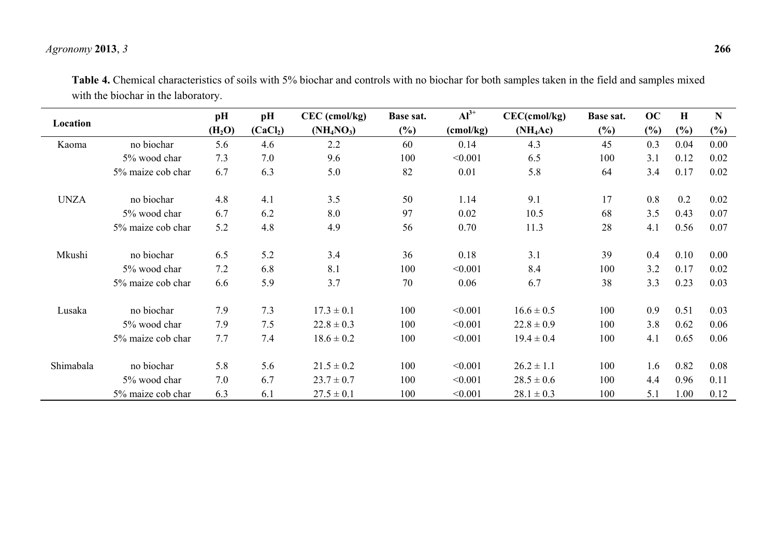## *Agronomy* **2013**, *3* **266**

|             |                   | pH                 | pH                   | $CEC$ (cmol/kg) | Base sat. | $Al^{3+}$ | $CEC$ (cmol/kg) | Base sat. | OC  | H      | $\mathbf N$ |
|-------------|-------------------|--------------------|----------------------|-----------------|-----------|-----------|-----------------|-----------|-----|--------|-------------|
| Location    |                   | (H <sub>2</sub> O) | (CaCl <sub>2</sub> ) | $(NH_4NO_3)$    | $(\%)$    | (cmol/kg) | $(NH_4Ac)$      | (%)       | (%) | $(\%)$ | $(\%)$      |
| Kaoma       | no biochar        | 5.6                | 4.6                  | 2.2             | 60        | 0.14      | 4.3             | 45        | 0.3 | 0.04   | 0.00        |
|             | 5% wood char      | 7.3                | 7.0                  | 9.6             | 100       | < 0.001   | 6.5             | 100       | 3.1 | 0.12   | 0.02        |
|             | 5% maize cob char | 6.7                | 6.3                  | 5.0             | 82        | 0.01      | 5.8             | 64        | 3.4 | 0.17   | 0.02        |
| <b>UNZA</b> | no biochar        | 4.8                | 4.1                  | 3.5             | 50        | 1.14      | 9.1             | 17        | 0.8 | 0.2    | 0.02        |
|             | 5% wood char      | 6.7                | 6.2                  | 8.0             | 97        | 0.02      | 10.5            | 68        | 3.5 | 0.43   | 0.07        |
|             | 5% maize cob char | 5.2                | 4.8                  | 4.9             | 56        | 0.70      | 11.3            | 28        | 4.1 | 0.56   | 0.07        |
| Mkushi      | no biochar        | 6.5                | 5.2                  | 3.4             | 36        | 0.18      | 3.1             | 39        | 0.4 | 0.10   | 0.00        |
|             | 5% wood char      | 7.2                | 6.8                  | 8.1             | 100       | < 0.001   | 8.4             | 100       | 3.2 | 0.17   | 0.02        |
|             | 5% maize cob char | 6.6                | 5.9                  | 3.7             | 70        | 0.06      | 6.7             | 38        | 3.3 | 0.23   | 0.03        |
| Lusaka      | no biochar        | 7.9                | 7.3                  | $17.3 \pm 0.1$  | 100       | < 0.001   | $16.6 \pm 0.5$  | 100       | 0.9 | 0.51   | 0.03        |
|             | 5% wood char      | 7.9                | 7.5                  | $22.8 \pm 0.3$  | 100       | < 0.001   | $22.8 \pm 0.9$  | 100       | 3.8 | 0.62   | 0.06        |
|             | 5% maize cob char | 7.7                | 7.4                  | $18.6 \pm 0.2$  | 100       | < 0.001   | $19.4 \pm 0.4$  | 100       | 4.1 | 0.65   | 0.06        |
| Shimabala   | no biochar        | 5.8                | 5.6                  | $21.5 \pm 0.2$  | 100       | < 0.001   | $26.2 \pm 1.1$  | 100       | 1.6 | 0.82   | 0.08        |
|             | 5% wood char      | 7.0                | 6.7                  | $23.7 \pm 0.7$  | 100       | < 0.001   | $28.5 \pm 0.6$  | 100       | 4.4 | 0.96   | 0.11        |
|             | 5% maize cob char | 6.3                | 6.1                  | $27.5 \pm 0.1$  | 100       | < 0.001   | $28.1 \pm 0.3$  | 100       | 5.1 | 1.00   | 0.12        |

**Table 4.** Chemical characteristics of soils with 5% biochar and controls with no biochar for both samples taken in the field and samples mixed with the biochar in the laboratory.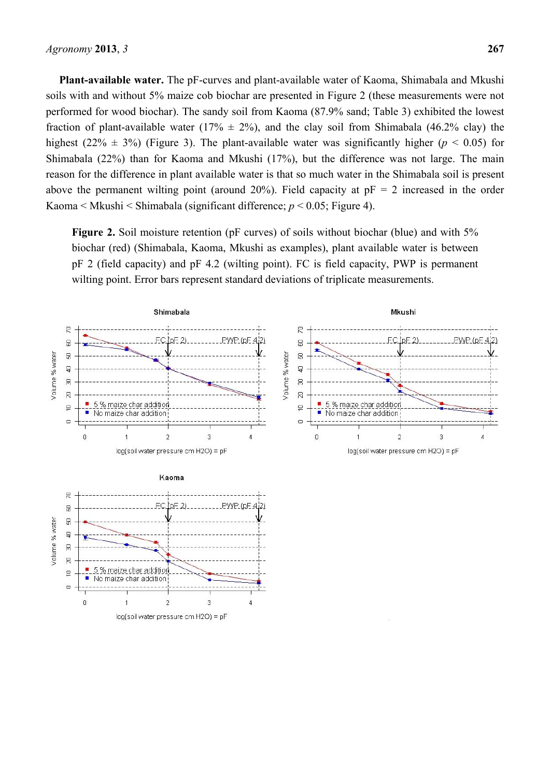**Plant-available water.** The pF-curves and plant-available water of Kaoma, Shimabala and Mkushi soils with and without 5% maize cob biochar are presented in Figure 2 (these measurements were not performed for wood biochar). The sandy soil from Kaoma (87.9% sand; Table 3) exhibited the lowest fraction of plant-available water (17%  $\pm$  2%), and the clay soil from Shimabala (46.2% clay) the highest (22%  $\pm$  3%) (Figure 3). The plant-available water was significantly higher ( $p$  < 0.05) for Shimabala (22%) than for Kaoma and Mkushi (17%), but the difference was not large. The main reason for the difference in plant available water is that so much water in the Shimabala soil is present above the permanent wilting point (around 20%). Field capacity at  $pF = 2$  increased in the order Kaoma < Mkushi < Shimabala (significant difference; *p* < 0.05; Figure 4).

**Figure 2.** Soil moisture retention (pF curves) of soils without biochar (blue) and with 5% biochar (red) (Shimabala, Kaoma, Mkushi as examples), plant available water is between pF 2 (field capacity) and pF 4.2 (wilting point). FC is field capacity, PWP is permanent wilting point. Error bars represent standard deviations of triplicate measurements.

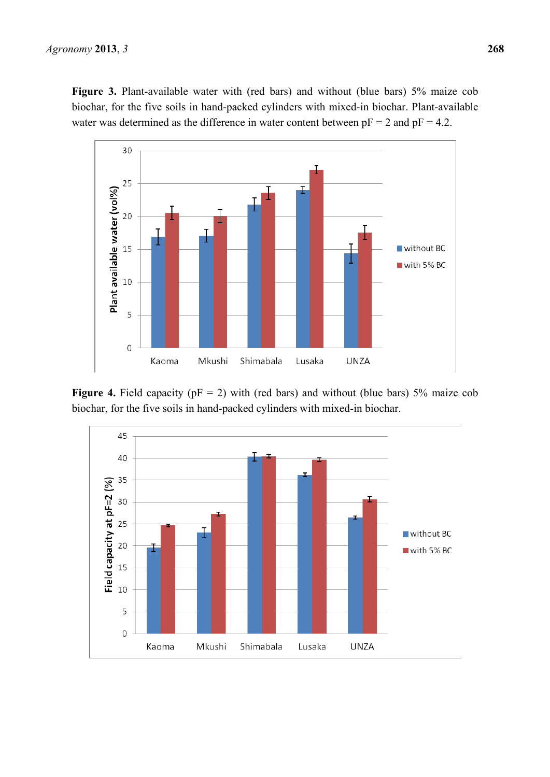

**Figure 4.** Field capacity ( $pF = 2$ ) with (red bars) and without (blue bars) 5% maize cob biochar, for the five soils in hand-packed cylinders with mixed-in biochar.

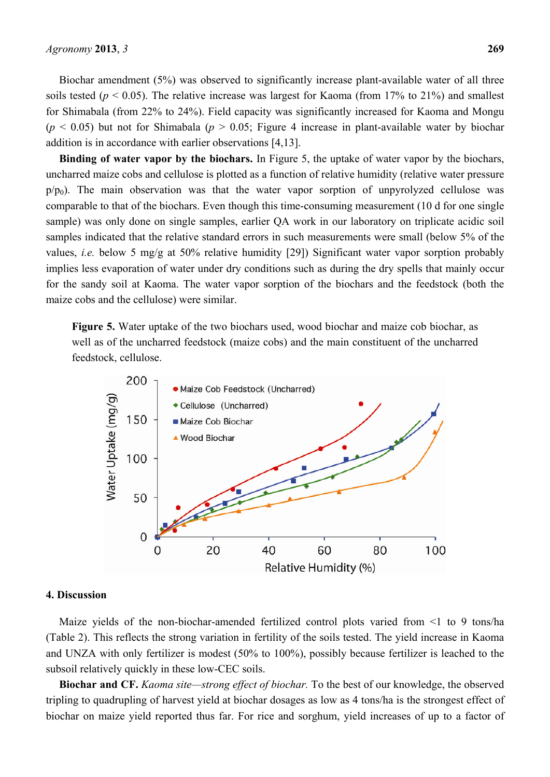Biochar amendment (5%) was observed to significantly increase plant-available water of all three soils tested ( $p < 0.05$ ). The relative increase was largest for Kaoma (from 17% to 21%) and smallest for Shimabala (from 22% to 24%). Field capacity was significantly increased for Kaoma and Mongu  $(p < 0.05)$  but not for Shimabala  $(p > 0.05)$ . Figure 4 increase in plant-available water by biochar addition is in accordance with earlier observations [4,13].

**Binding of water vapor by the biochars.** In Figure 5, the uptake of water vapor by the biochars, uncharred maize cobs and cellulose is plotted as a function of relative humidity (relative water pressure  $p/p_0$ ). The main observation was that the water vapor sorption of unpyrolyzed cellulose was comparable to that of the biochars. Even though this time-consuming measurement (10 d for one single sample) was only done on single samples, earlier QA work in our laboratory on triplicate acidic soil samples indicated that the relative standard errors in such measurements were small (below 5% of the values, *i.e.* below 5 mg/g at 50% relative humidity [29]) Significant water vapor sorption probably implies less evaporation of water under dry conditions such as during the dry spells that mainly occur for the sandy soil at Kaoma. The water vapor sorption of the biochars and the feedstock (both the maize cobs and the cellulose) were similar.

**Figure 5.** Water uptake of the two biochars used, wood biochar and maize cob biochar, as well as of the uncharred feedstock (maize cobs) and the main constituent of the uncharred feedstock, cellulose.



## **4. Discussion**

Maize yields of the non-biochar-amended fertilized control plots varied from <1 to 9 tons/ha (Table 2). This reflects the strong variation in fertility of the soils tested. The yield increase in Kaoma and UNZA with only fertilizer is modest (50% to 100%), possibly because fertilizer is leached to the subsoil relatively quickly in these low-CEC soils.

**Biochar and CF.** *Kaoma site—strong effect of biochar.* To the best of our knowledge, the observed tripling to quadrupling of harvest yield at biochar dosages as low as 4 tons/ha is the strongest effect of biochar on maize yield reported thus far. For rice and sorghum, yield increases of up to a factor of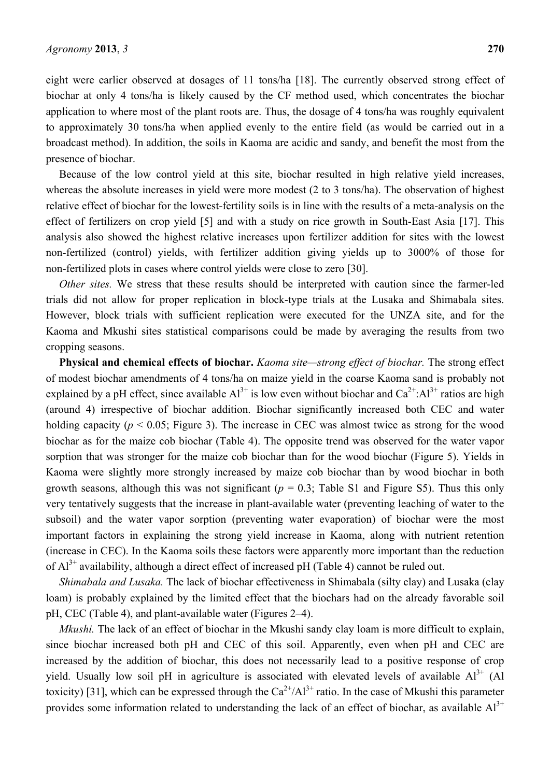eight were earlier observed at dosages of 11 tons/ha [18]. The currently observed strong effect of biochar at only 4 tons/ha is likely caused by the CF method used, which concentrates the biochar application to where most of the plant roots are. Thus, the dosage of 4 tons/ha was roughly equivalent to approximately 30 tons/ha when applied evenly to the entire field (as would be carried out in a broadcast method). In addition, the soils in Kaoma are acidic and sandy, and benefit the most from the presence of biochar.

Because of the low control yield at this site, biochar resulted in high relative yield increases, whereas the absolute increases in yield were more modest (2 to 3 tons/ha). The observation of highest relative effect of biochar for the lowest-fertility soils is in line with the results of a meta-analysis on the effect of fertilizers on crop yield [5] and with a study on rice growth in South-East Asia [17]. This analysis also showed the highest relative increases upon fertilizer addition for sites with the lowest non-fertilized (control) yields, with fertilizer addition giving yields up to 3000% of those for non-fertilized plots in cases where control yields were close to zero [30].

*Other sites.* We stress that these results should be interpreted with caution since the farmer-led trials did not allow for proper replication in block-type trials at the Lusaka and Shimabala sites. However, block trials with sufficient replication were executed for the UNZA site, and for the Kaoma and Mkushi sites statistical comparisons could be made by averaging the results from two cropping seasons.

**Physical and chemical effects of biochar.** *Kaoma site—strong effect of biochar.* The strong effect of modest biochar amendments of 4 tons/ha on maize yield in the coarse Kaoma sand is probably not explained by a pH effect, since available  $Al^{3+}$  is low even without biochar and  $Ca^{2+}:Al^{3+}$  ratios are high (around 4) irrespective of biochar addition. Biochar significantly increased both CEC and water holding capacity ( $p < 0.05$ ; Figure 3). The increase in CEC was almost twice as strong for the wood biochar as for the maize cob biochar (Table 4). The opposite trend was observed for the water vapor sorption that was stronger for the maize cob biochar than for the wood biochar (Figure 5). Yields in Kaoma were slightly more strongly increased by maize cob biochar than by wood biochar in both growth seasons, although this was not significant ( $p = 0.3$ ; Table S1 and Figure S5). Thus this only very tentatively suggests that the increase in plant-available water (preventing leaching of water to the subsoil) and the water vapor sorption (preventing water evaporation) of biochar were the most important factors in explaining the strong yield increase in Kaoma, along with nutrient retention (increase in CEC). In the Kaoma soils these factors were apparently more important than the reduction of  $Al^{3+}$  availability, although a direct effect of increased pH (Table 4) cannot be ruled out.

*Shimabala and Lusaka.* The lack of biochar effectiveness in Shimabala (silty clay) and Lusaka (clay loam) is probably explained by the limited effect that the biochars had on the already favorable soil pH, CEC (Table 4), and plant-available water (Figures 2–4).

*Mkushi.* The lack of an effect of biochar in the Mkushi sandy clay loam is more difficult to explain, since biochar increased both pH and CEC of this soil. Apparently, even when pH and CEC are increased by the addition of biochar, this does not necessarily lead to a positive response of crop yield. Usually low soil pH in agriculture is associated with elevated levels of available  $Al^{3+}$  (Al toxicity) [31], which can be expressed through the  $Ca^{2+}/Al^{3+}$  ratio. In the case of Mkushi this parameter provides some information related to understanding the lack of an effect of biochar, as available  $Al^{3+}$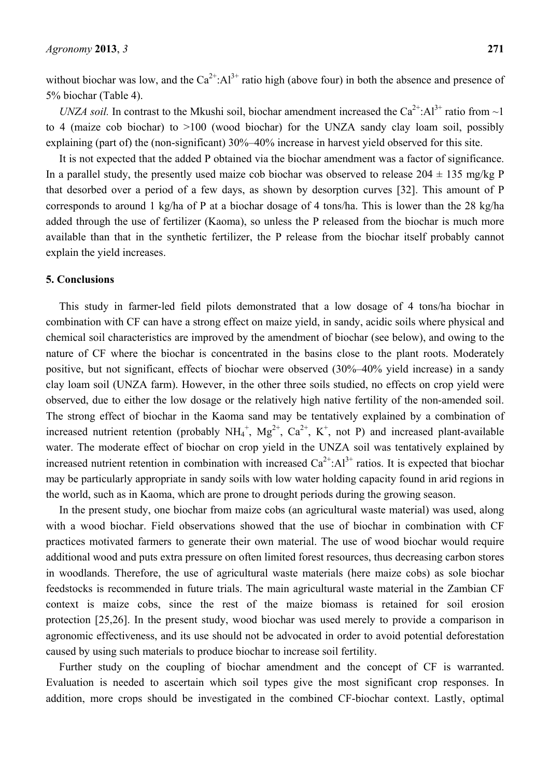without biochar was low, and the  $Ca^{2+}: Al^{3+}$  ratio high (above four) in both the absence and presence of 5% biochar (Table 4).

*UNZA soil.* In contrast to the Mkushi soil, biochar amendment increased the  $Ca^{2+}: Al^{3+}$  ratio from  $\sim$ 1 to 4 (maize cob biochar) to >100 (wood biochar) for the UNZA sandy clay loam soil, possibly explaining (part of) the (non-significant) 30%–40% increase in harvest yield observed for this site.

It is not expected that the added P obtained via the biochar amendment was a factor of significance. In a parallel study, the presently used maize cob biochar was observed to release  $204 \pm 135$  mg/kg P that desorbed over a period of a few days, as shown by desorption curves [32]. This amount of P corresponds to around 1 kg/ha of P at a biochar dosage of 4 tons/ha. This is lower than the 28 kg/ha added through the use of fertilizer (Kaoma), so unless the P released from the biochar is much more available than that in the synthetic fertilizer, the P release from the biochar itself probably cannot explain the yield increases.

## **5. Conclusions**

This study in farmer-led field pilots demonstrated that a low dosage of 4 tons/ha biochar in combination with CF can have a strong effect on maize yield, in sandy, acidic soils where physical and chemical soil characteristics are improved by the amendment of biochar (see below), and owing to the nature of CF where the biochar is concentrated in the basins close to the plant roots. Moderately positive, but not significant, effects of biochar were observed (30%–40% yield increase) in a sandy clay loam soil (UNZA farm). However, in the other three soils studied, no effects on crop yield were observed, due to either the low dosage or the relatively high native fertility of the non-amended soil. The strong effect of biochar in the Kaoma sand may be tentatively explained by a combination of increased nutrient retention (probably  $NH_4^+$ ,  $Mg^{2+}$ ,  $Ca^{2+}$ , K<sup>+</sup>, not P) and increased plant-available water. The moderate effect of biochar on crop yield in the UNZA soil was tentatively explained by increased nutrient retention in combination with increased  $Ca^{2+}: Al^{3+}$  ratios. It is expected that biochar may be particularly appropriate in sandy soils with low water holding capacity found in arid regions in the world, such as in Kaoma, which are prone to drought periods during the growing season.

In the present study, one biochar from maize cobs (an agricultural waste material) was used, along with a wood biochar. Field observations showed that the use of biochar in combination with CF practices motivated farmers to generate their own material. The use of wood biochar would require additional wood and puts extra pressure on often limited forest resources, thus decreasing carbon stores in woodlands. Therefore, the use of agricultural waste materials (here maize cobs) as sole biochar feedstocks is recommended in future trials. The main agricultural waste material in the Zambian CF context is maize cobs, since the rest of the maize biomass is retained for soil erosion protection [25,26]. In the present study, wood biochar was used merely to provide a comparison in agronomic effectiveness, and its use should not be advocated in order to avoid potential deforestation caused by using such materials to produce biochar to increase soil fertility.

Further study on the coupling of biochar amendment and the concept of CF is warranted. Evaluation is needed to ascertain which soil types give the most significant crop responses. In addition, more crops should be investigated in the combined CF-biochar context. Lastly, optimal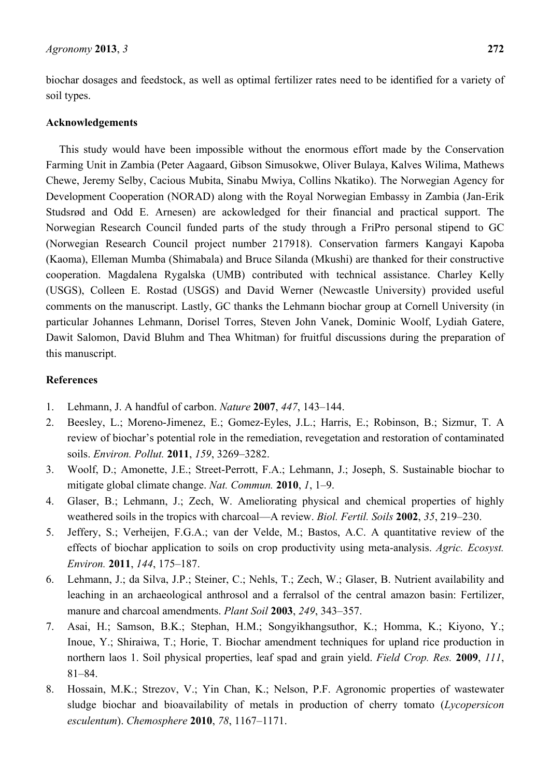biochar dosages and feedstock, as well as optimal fertilizer rates need to be identified for a variety of soil types.

## **Acknowledgements**

This study would have been impossible without the enormous effort made by the Conservation Farming Unit in Zambia (Peter Aagaard, Gibson Simusokwe, Oliver Bulaya, Kalves Wilima, Mathews Chewe, Jeremy Selby, Cacious Mubita, Sinabu Mwiya, Collins Nkatiko). The Norwegian Agency for Development Cooperation (NORAD) along with the Royal Norwegian Embassy in Zambia (Jan-Erik Studsrød and Odd E. Arnesen) are ackowledged for their financial and practical support. The Norwegian Research Council funded parts of the study through a FriPro personal stipend to GC (Norwegian Research Council project number 217918). Conservation farmers Kangayi Kapoba (Kaoma), Elleman Mumba (Shimabala) and Bruce Silanda (Mkushi) are thanked for their constructive cooperation. Magdalena Rygalska (UMB) contributed with technical assistance. Charley Kelly (USGS), Colleen E. Rostad (USGS) and David Werner (Newcastle University) provided useful comments on the manuscript. Lastly, GC thanks the Lehmann biochar group at Cornell University (in particular Johannes Lehmann, Dorisel Torres, Steven John Vanek, Dominic Woolf, Lydiah Gatere, Dawit Salomon, David Bluhm and Thea Whitman) for fruitful discussions during the preparation of this manuscript.

## **References**

- 1. Lehmann, J. A handful of carbon. *Nature* **2007**, *447*, 143–144.
- 2. Beesley, L.; Moreno-Jimenez, E.; Gomez-Eyles, J.L.; Harris, E.; Robinson, B.; Sizmur, T. A review of biochar's potential role in the remediation, revegetation and restoration of contaminated soils. *Environ. Pollut.* **2011**, *159*, 3269–3282.
- 3. Woolf, D.; Amonette, J.E.; Street-Perrott, F.A.; Lehmann, J.; Joseph, S. Sustainable biochar to mitigate global climate change. *Nat. Commun.* **2010**, *1*, 1–9.
- 4. Glaser, B.; Lehmann, J.; Zech, W. Ameliorating physical and chemical properties of highly weathered soils in the tropics with charcoal—A review. *Biol. Fertil. Soils* **2002**, *35*, 219–230.
- 5. Jeffery, S.; Verheijen, F.G.A.; van der Velde, M.; Bastos, A.C. A quantitative review of the effects of biochar application to soils on crop productivity using meta-analysis. *Agric. Ecosyst. Environ.* **2011**, *144*, 175–187.
- 6. Lehmann, J.; da Silva, J.P.; Steiner, C.; Nehls, T.; Zech, W.; Glaser, B. Nutrient availability and leaching in an archaeological anthrosol and a ferralsol of the central amazon basin: Fertilizer, manure and charcoal amendments. *Plant Soil* **2003**, *249*, 343–357.
- 7. Asai, H.; Samson, B.K.; Stephan, H.M.; Songyikhangsuthor, K.; Homma, K.; Kiyono, Y.; Inoue, Y.; Shiraiwa, T.; Horie, T. Biochar amendment techniques for upland rice production in northern laos 1. Soil physical properties, leaf spad and grain yield. *Field Crop. Res.* **2009**, *111*, 81–84.
- 8. Hossain, M.K.; Strezov, V.; Yin Chan, K.; Nelson, P.F. Agronomic properties of wastewater sludge biochar and bioavailability of metals in production of cherry tomato (*Lycopersicon esculentum*). *Chemosphere* **2010**, *78*, 1167–1171.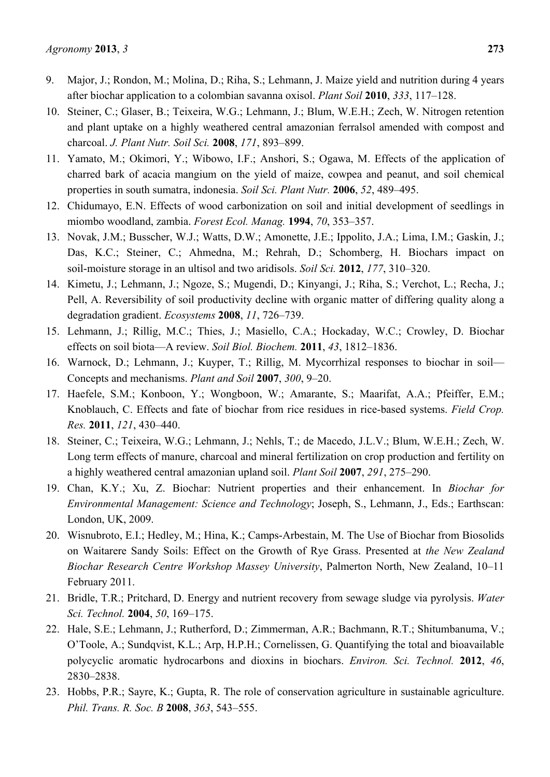- 9. Major, J.; Rondon, M.; Molina, D.; Riha, S.; Lehmann, J. Maize yield and nutrition during 4 years after biochar application to a colombian savanna oxisol. *Plant Soil* **2010**, *333*, 117–128.
- 10. Steiner, C.; Glaser, B.; Teixeira, W.G.; Lehmann, J.; Blum, W.E.H.; Zech, W. Nitrogen retention and plant uptake on a highly weathered central amazonian ferralsol amended with compost and charcoal. *J. Plant Nutr. Soil Sci.* **2008**, *171*, 893–899.
- 11. Yamato, M.; Okimori, Y.; Wibowo, I.F.; Anshori, S.; Ogawa, M. Effects of the application of charred bark of acacia mangium on the yield of maize, cowpea and peanut, and soil chemical properties in south sumatra, indonesia. *Soil Sci. Plant Nutr.* **2006**, *52*, 489–495.
- 12. Chidumayo, E.N. Effects of wood carbonization on soil and initial development of seedlings in miombo woodland, zambia. *Forest Ecol. Manag.* **1994**, *70*, 353–357.
- 13. Novak, J.M.; Busscher, W.J.; Watts, D.W.; Amonette, J.E.; Ippolito, J.A.; Lima, I.M.; Gaskin, J.; Das, K.C.; Steiner, C.; Ahmedna, M.; Rehrah, D.; Schomberg, H. Biochars impact on soil-moisture storage in an ultisol and two aridisols. *Soil Sci.* **2012**, *177*, 310–320.
- 14. Kimetu, J.; Lehmann, J.; Ngoze, S.; Mugendi, D.; Kinyangi, J.; Riha, S.; Verchot, L.; Recha, J.; Pell, A. Reversibility of soil productivity decline with organic matter of differing quality along a degradation gradient. *Ecosystems* **2008**, *11*, 726–739.
- 15. Lehmann, J.; Rillig, M.C.; Thies, J.; Masiello, C.A.; Hockaday, W.C.; Crowley, D. Biochar effects on soil biota—A review. *Soil Biol. Biochem.* **2011**, *43*, 1812–1836.
- 16. Warnock, D.; Lehmann, J.; Kuyper, T.; Rillig, M. Mycorrhizal responses to biochar in soil— Concepts and mechanisms. *Plant and Soil* **2007**, *300*, 9–20.
- 17. Haefele, S.M.; Konboon, Y.; Wongboon, W.; Amarante, S.; Maarifat, A.A.; Pfeiffer, E.M.; Knoblauch, C. Effects and fate of biochar from rice residues in rice-based systems. *Field Crop. Res.* **2011**, *121*, 430–440.
- 18. Steiner, C.; Teixeira, W.G.; Lehmann, J.; Nehls, T.; de Macedo, J.L.V.; Blum, W.E.H.; Zech, W. Long term effects of manure, charcoal and mineral fertilization on crop production and fertility on a highly weathered central amazonian upland soil. *Plant Soil* **2007**, *291*, 275–290.
- 19. Chan, K.Y.; Xu, Z. Biochar: Nutrient properties and their enhancement. In *Biochar for Environmental Management: Science and Technology*; Joseph, S., Lehmann, J., Eds.; Earthscan: London, UK, 2009.
- 20. Wisnubroto, E.I.; Hedley, M.; Hina, K.; Camps-Arbestain, M. The Use of Biochar from Biosolids on Waitarere Sandy Soils: Effect on the Growth of Rye Grass. Presented at *the New Zealand Biochar Research Centre Workshop Massey University*, Palmerton North, New Zealand, 10–11 February 2011.
- 21. Bridle, T.R.; Pritchard, D. Energy and nutrient recovery from sewage sludge via pyrolysis. *Water Sci. Technol.* **2004**, *50*, 169–175.
- 22. Hale, S.E.; Lehmann, J.; Rutherford, D.; Zimmerman, A.R.; Bachmann, R.T.; Shitumbanuma, V.; O'Toole, A.; Sundqvist, K.L.; Arp, H.P.H.; Cornelissen, G. Quantifying the total and bioavailable polycyclic aromatic hydrocarbons and dioxins in biochars. *Environ. Sci. Technol.* **2012**, *46*, 2830–2838.
- 23. Hobbs, P.R.; Sayre, K.; Gupta, R. The role of conservation agriculture in sustainable agriculture. *Phil. Trans. R. Soc. B* **2008**, *363*, 543–555.